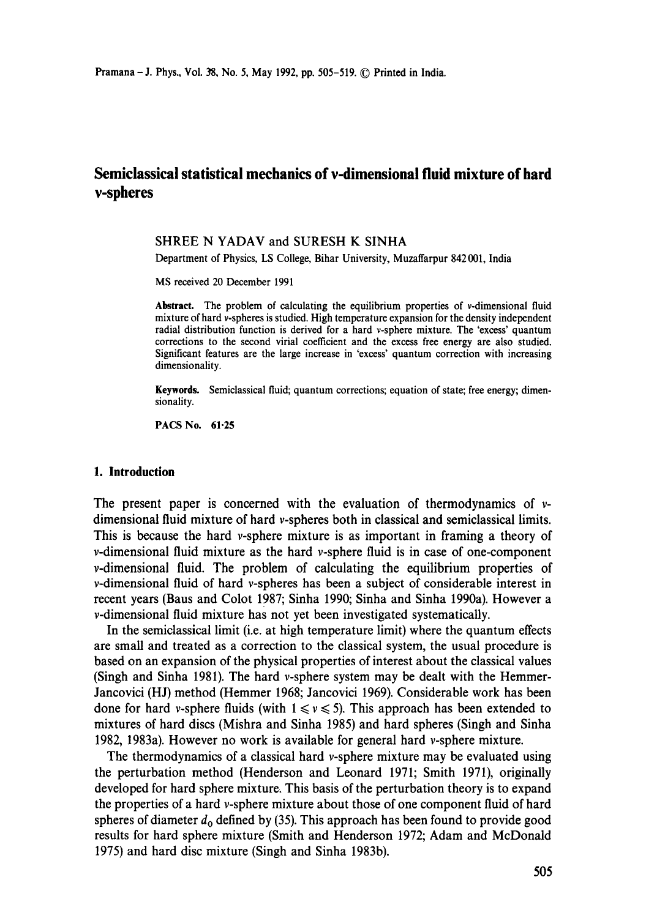# **Semiclassical statistical mechanics of v-dimensional fluid mixture of hard v-spheres**

#### **SHREE N** YADAV and SURESH K SINHA

Department of Physics, LS College, Bihar University, Muzaffarpur 842001, India

MS received 20 December 1991

**Abstract.** The problem of calculating the equilibrium properties of v-dimensional fluid mixture of hard v-spheres is studied. High temperature expansion for the density independent radial distribution function is derived for a hard v-sphere mixture. The 'excess' quantum corrections to the second virial coefficient and the excess free energy are also studied. Significant features are the large increase in 'excess' quantum correction with increasing dimensionality.

**Keywords.** Semiclassical fluid; quantum corrections; equation of state; free energy; dimensionality.

PACS No. 61.25

# **1. Introduction**

The present paper is concerned with the evaluation of thermodynamics of  $\nu$ dimensional fluid mixture of hard v-spheres both in classical and semiclassical limits. This is because the hard v-sphere mixture is as important in framing a theory of v-dimensional fluid mixture as the hard v-sphere fluid is in case of one-component v-dimensional fluid. The problem of calculating the equilibrium properties of v-dimensional fluid of hard v-spheres has been a subject of considerable interest in recent years (Baus and Colot 1987; Sinha 1990; Sinha and Sinha 1990a). However a v-dimensional fluid mixture has not yet been investigated systematically.

In the semiclassical limit (i.e. at high temperature limit) where the quantum effects are small and treated as a correction to the classical system, the usual procedure is based on an expansion of the physical properties of interest about the classical values (Singh and Sinha 1981). The hard v-sphere system may be dealt with the Hemmer-Jancovici (HJ) method (Hemmer 1968; Jancovici 1969). Considerable work has been done for hard v-sphere fluids (with  $1 \le v \le 5$ ). This approach has been extended to mixtures of hard discs (Mishra and Sinha 1985) and hard spheres (Singh and Sinha 1982, 1983a). However no work is available for general hard v-sphere mixture.

The thermodynamics of a classical hard v-sphere mixture may be evaluated using the perturbation method (Henderson and Leonard 1971; Smith 1971), originally developed for hard sphere mixture. This basis of the perturbation theory is to expand the properties of a hard v-sphere mixture about those of one component fluid of hard spheres of diameter  $d_0$  defined by (35). This approach has been found to provide good results for hard sphere mixture (Smith and Henderson 1972; Adam and McDonald 1975) and hard disc mixture (Singh and Sinha 1983b).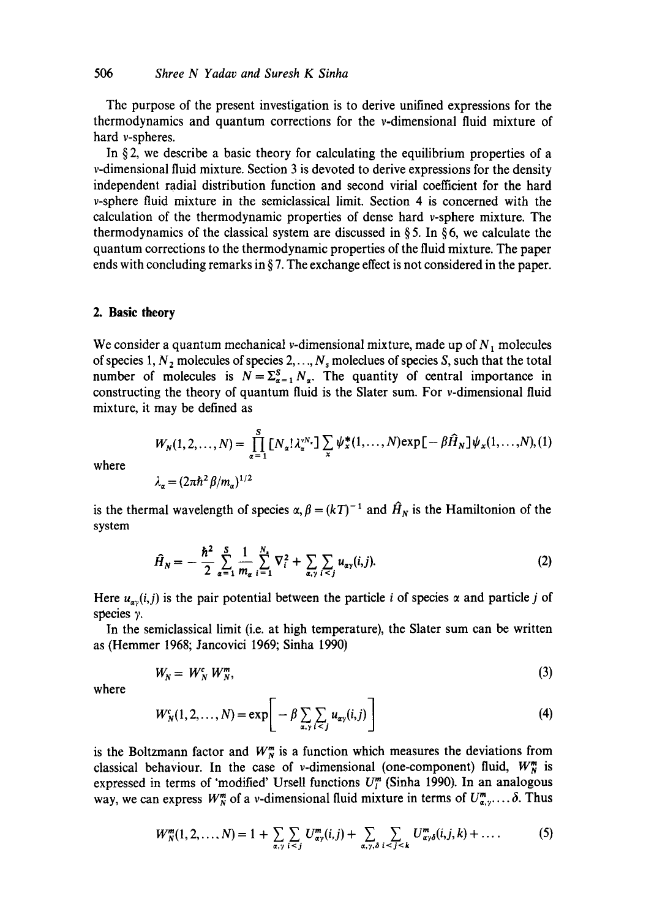The purpose of the present investigation is to derive unifined expressions for the thermodynamics and quantum corrections for the v-dimensional fluid mixture of hard v-spheres.

In  $\S$ 2, we describe a basic theory for calculating the equilibrium properties of a v-dimensional fluid mixture. Section 3 is devoted to derive expressions for the density independent radial distribution function and second virial coefficient for the hard v-sphere fluid mixture in the semiclassical limit. Section 4 is concerned with the calculation of the thermodynamic properties of dense hard v-sphere mixture. The thermodynamics of the classical system are discussed in § 5. In § 6, we calculate the quantum corrections to the thermodynamic properties of the fluid mixture. The paper ends with concluding remarks in  $\S$  7. The exchange effect is not considered in the paper.

## **2. Basic theory**

We consider a quantum mechanical v-dimensional mixture, made up of  $N_1$  molecules of species 1,  $N_2$  molecules of species 2, ...,  $N_s$  moleclues of species S, such that the total number of molecules is  $N = \sum_{\alpha=1}^{S} N_{\alpha}$ . The quantity of central importance in constructing the theory of quantum fluid is the Slater sum. For v-dimensional fluid mixture, it may be defined as

$$
W_N(1, 2, ..., N) = \prod_{\alpha=1}^S [N_{\alpha}! \lambda_{\alpha}^{vN_{\alpha}}] \sum_{x} \psi_x^*(1, ..., N) \exp[-\beta \hat{H}_N] \psi_x(1, ..., N), (1)
$$

where

$$
\lambda_a = (2\pi\hbar^2 \beta/m_a)^{1/2}
$$

is the thermal wavelength of species  $\alpha$ ,  $\beta = (kT)^{-1}$  and  $\hat{H}_N$  is the Hamiltonion of the system

$$
\hat{H}_N = -\frac{\hbar^2}{2} \sum_{\alpha=1}^S \frac{1}{m_\alpha} \sum_{i=1}^{N_\alpha} \nabla_i^2 + \sum_{\alpha,\gamma} \sum_{i < j} u_{\alpha\gamma}(i,j). \tag{2}
$$

Here  $u_{\alpha\nu}(i,j)$  is the pair potential between the particle i of species  $\alpha$  and particle j of species  $\gamma$ .

In the semiclassical limit (i.e. at high temperature), the Slater sum can be written as (Hemmer 1968; Jancovici 1969; Sinha 1990)

$$
W_N = W_N^c W_N^m, \tag{3}
$$

where

$$
W_N^c(1,2,\ldots,N) = \exp\bigg[-\beta \sum_{\alpha,\gamma} \sum_{i < j} u_{\alpha\gamma}(i,j)\bigg] \tag{4}
$$

is the Boltzmann factor and  $W_N^m$  is a function which measures the deviations from classical behaviour. In the case of v-dimensional (one-component) fluid,  $W_N^m$  is expressed in terms of 'modified' Ursell functions  $U_l^m$  (Sinha 1990). In an analogous way, we can express  $W_N^m$  of a v-dimensional fluid mixture in terms of  $U_{\alpha,\gamma}^m$ ....  $\delta$ . Thus

$$
W_N^m(1,2,\ldots,N)=1+\sum_{\alpha,\gamma}\sum_{i (5)
$$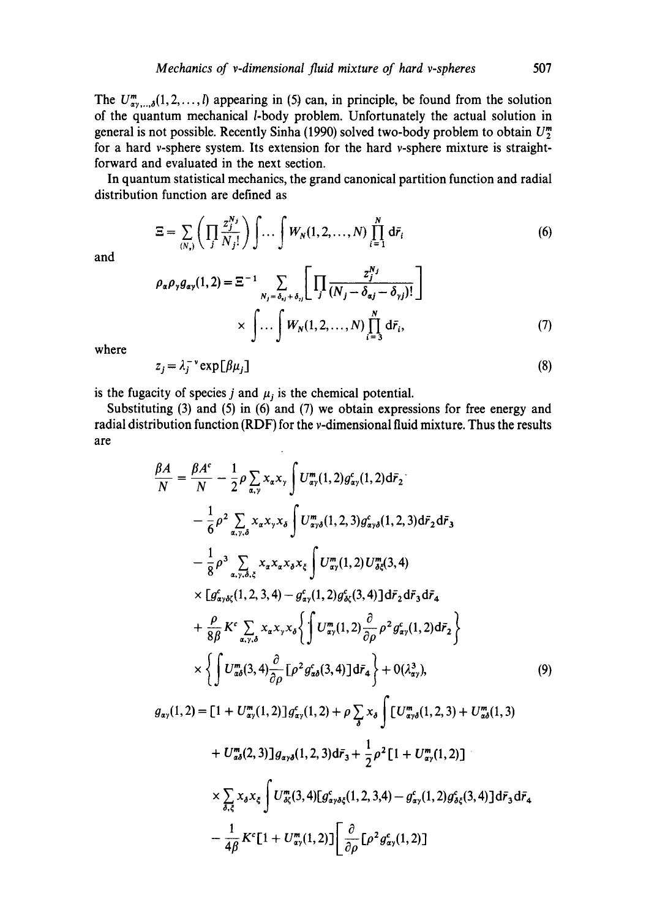The  $U_{\alpha\gamma,\dots,\delta}^m(1,2,\dots,l)$  appearing in (5) can, in principle, be found from the solution of the quantum mechanical *l*-body problem. Unfortunately the actual solution in general is not possible. Recently Sinha (1990) solved two-body problem to obtain  $U_2^m$ for a hard v-sphere system. Its extension for the hard v-sphere mixture is straightforward and evaluated in the next section.

In quantum statistical mechanics, the grand canonical partition function and radial distribution function are defined as

$$
\Xi = \sum_{\{N_s\}} \left( \prod_j \frac{z_j^{N_j}}{N_j!} \right) \int \dots \int W_N(1, 2, \dots, N) \prod_{i=1}^N d\bar{r}_i \tag{6}
$$

and

$$
\rho_{\alpha}\rho_{\gamma}g_{\alpha\gamma}(1,2) = \Xi^{-1}\sum_{N_j=\delta_{ij}+\delta_{ij}}\left[\prod_j \frac{z_j^{N_j}}{(N_j-\delta_{\alpha j}-\delta_{\gamma j})!}\right]
$$

$$
\times \int \dots \int W_N(1,2,\dots,N)\prod_{i=3}^N d\bar{r}_i,
$$
(7)

where

$$
z_j = \lambda_j^{-\nu} \exp[\beta \mu_j]
$$
 (8)

is the fugacity of species j and  $\mu_j$  is the chemical potential.

Substituting (3) and (5) in (6) and (7) we obtain expressions for free energy and radial distribution function (RDF) for the v-dimensional fluid mixture. Thus the results are

$$
\frac{\beta A}{N} = \frac{\beta A^c}{N} - \frac{1}{2} \rho \sum_{\alpha, y} x_{\alpha} x_{y} \int U_{\alpha y}^{m}(1, 2) g_{\alpha y}^{c}(1, 2) d\bar{r}_{2} \n- \frac{1}{6} \rho^2 \sum_{\alpha, y, \delta, \zeta} x_{\alpha} x_{y} x_{\delta} \int U_{\alpha y}^{m}(1, 2, 3) g_{\alpha y \delta}^{c}(1, 2, 3) d\bar{r}_{2} d\bar{r}_{3} \n- \frac{1}{8} \rho^3 \sum_{\alpha, y, \delta, \zeta} x_{\alpha} x_{\alpha} x_{\delta} x_{\zeta} \int U_{\alpha y}^{m}(1, 2) U_{\delta \zeta}^{m}(3, 4) \n\times [g_{\alpha y \delta \zeta}^{c}(1, 2, 3, 4) - g_{\alpha y}^{c}(1, 2) g_{\delta \zeta}^{c}(3, 4)] d\bar{r}_{2} d\bar{r}_{3} d\bar{r}_{4} \n+ \frac{\rho}{8 \beta} K^c \sum_{\alpha, y, \delta} x_{\alpha} x_{y} x_{\delta} \left\{ \int U_{\alpha y}^{m}(1, 2) \frac{\partial}{\partial \rho} \rho^2 g_{\alpha y}^{c}(1, 2) d\bar{r}_{2} \right\} \n\times \left\{ \int U_{\alpha \delta}^{m}(3, 4) \frac{\partial}{\partial \rho} [\rho^2 g_{\alpha \delta}^{c}(3, 4)] d\bar{r}_{4} \right\} + O(\lambda_{\alpha y}^{3}),
$$
\n(9)  
\n $g_{\alpha y}(1, 2) = [1 + U_{\alpha y}^{m}(1, 2)] g_{\alpha y}^{c}(1, 2) + \rho \sum_{\delta} x_{\delta} \int [U_{\alpha y \delta}^{m}(1, 2, 3) + U_{\alpha \delta}^{m}(1, 3) \n+ U_{\alpha \delta}^{m}(2, 3)] g_{\alpha y \delta}(1, 2, 3) d\bar{r}_{3} + \frac{1}{2} \rho^2 [1 + U_{\alpha y}^{m}(1, 2)] \n\times \sum_{\delta, \zeta} x_{\delta} x_{\zeta} \int U_{\delta \zeta}^{m}(3,$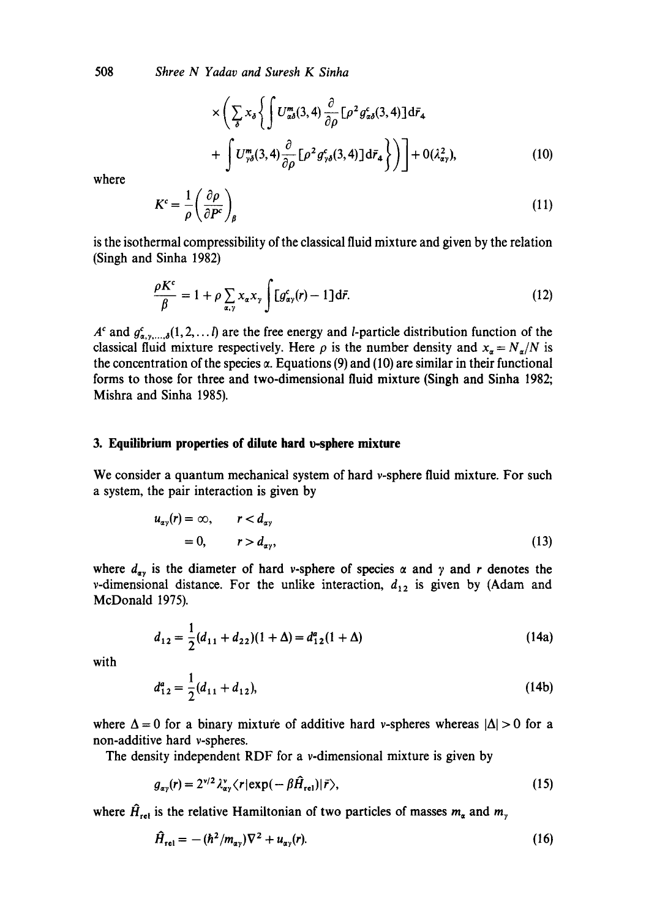508 *Shree N Yadav and Suresh K Sinha* 

$$
\times \left( \sum_{\delta} x_{\delta} \left\{ \int U_{\alpha\delta}^{m}(3,4) \frac{\partial}{\partial \rho} [\rho^{2} g_{\alpha\delta}^{c}(3,4)] d\bar{r}_{4} \right. \right.+ \left. \int U_{\gamma\delta}^{m}(3,4) \frac{\partial}{\partial \rho} [\rho^{2} g_{\gamma\delta}^{c}(3,4)] d\bar{r}_{4} \right\} \right) \Bigg] + O(\lambda_{\alpha\gamma}^{2}), \qquad (10)
$$

where

$$
K^c = \frac{1}{\rho} \left( \frac{\partial \rho}{\partial P^c} \right)_{\beta} \tag{11}
$$

is the isothermal compressibility of the classical fluid mixture and given by the relation (Singh and Sinha 1982)

$$
\frac{\rho K^c}{\beta} = 1 + \rho \sum_{\alpha, \gamma} x_{\alpha} x_{\gamma} \int [g_{\alpha\gamma}^c(r) - 1] d\bar{r}.
$$
\n(12)

 $A^c$  and  $g_{\alpha,\gamma,...,s}^c(1,2,...l)$  are the free energy and *l*-particle distribution function of the classical fluid mixture respectively. Here  $\rho$  is the number density and  $x_q = N_q/N$  is the concentration of the species  $\alpha$ . Equations (9) and (10) are similar in their functional forms to those for three and two-dimensional fluid mixture (Singh and Sinha 1982; Mishra and Sinha 1985).

## **3. Equilibrium properties of dilute hard v-sphere mixture**

We consider a quantum mechanical system of hard v-sphere fluid mixture. For such a system, the pair interaction is given by

$$
u_{\alpha\gamma}(r) = \infty, \qquad r < d_{\alpha\gamma} \tag{13}
$$
\n
$$
= 0, \qquad r > d_{\alpha\gamma}, \tag{13}
$$

where  $d_{\alpha\gamma}$  is the diameter of hard v-sphere of species  $\alpha$  and  $\gamma$  and r denotes the v-dimensional distance. For the unlike interaction,  $d_{12}$  is given by (Adam and McDonald 1975).

$$
d_{12} = \frac{1}{2}(d_{11} + d_{22})(1 + \Delta) = d_{12}^a(1 + \Delta)
$$
 (14a)

with

$$
d_{12}^a = \frac{1}{2}(d_{11} + d_{12}),\tag{14b}
$$

where  $\Delta = 0$  for a binary mixture of additive hard v-spheres whereas  $|\Delta| > 0$  for a non-additive hard v-spheres.

The density independent RDF for a v-dimensional mixture is given by

$$
g_{\alpha\gamma}(r) = 2^{\gamma/2} \lambda_{\alpha\gamma}^{\nu} \langle r | \exp(-\beta \hat{H}_{\text{rel}}) | \bar{r} \rangle, \tag{15}
$$

where  $\hat{H}_{\text{rel}}$  is the relative Hamiltonian of two particles of masses  $m_{\alpha}$  and  $m_{\gamma}$ 

$$
\hat{H}_{\rm rel} = -(\hbar^2/m_{\alpha\gamma})\nabla^2 + u_{\alpha\gamma}(r). \tag{16}
$$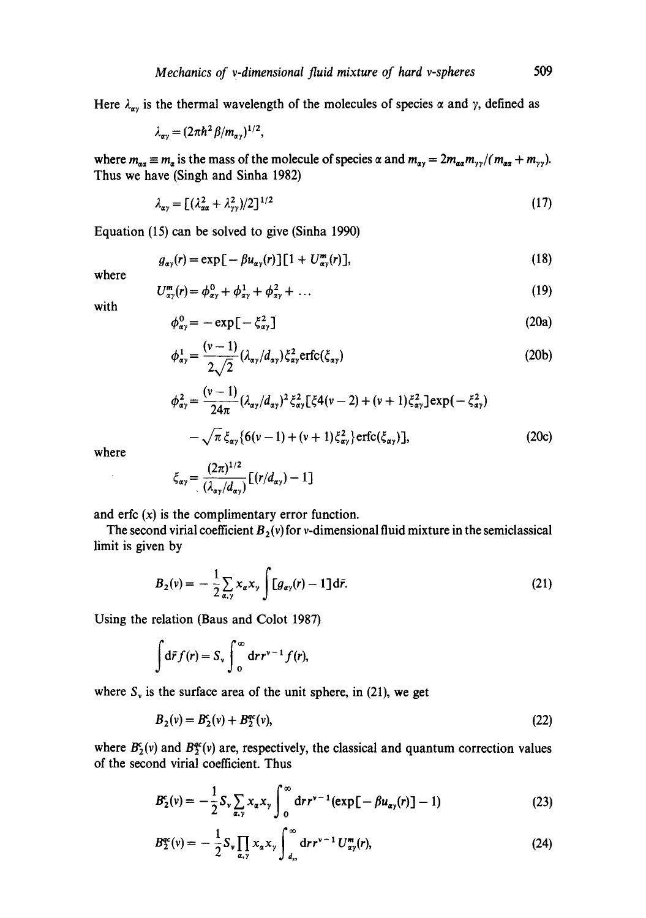Here  $\lambda_{\alpha}$ , is the thermal wavelength of the molecules of species  $\alpha$  and  $\gamma$ , defined as

$$
\lambda_{\alpha\gamma} = (2\pi\hbar^2 \beta/m_{\alpha\gamma})^{1/2},
$$

where  $m_{\alpha\alpha} \equiv m_{\alpha}$  is the mass of the molecule of species  $\alpha$  and  $m_{\alpha\gamma} = 2m_{\alpha\alpha}m_{\gamma\gamma}/(m_{\alpha\alpha} + m_{\gamma\gamma})$ . Thus we have (Singh and Sinha 1982)

$$
\lambda_{\alpha\gamma} = \left[ \left( \lambda_{\alpha\alpha}^2 + \lambda_{\gamma\gamma}^2 \right) / 2 \right]^{1/2} \tag{17}
$$

Equation (15) can be solved to give (Sinha 1990)

$$
g_{\alpha\gamma}(r) = \exp\big[-\beta u_{\alpha\gamma}(r)\big]\big[1 + U_{\alpha\gamma}^m(r)\big],\tag{18}
$$

where

$$
U_{\alpha\gamma}^{m}(r) = \phi_{\alpha\gamma}^{0} + \phi_{\alpha\gamma}^{1} + \phi_{\alpha\gamma}^{2} + \dots \tag{19}
$$

with

$$
\phi_{\alpha\gamma}^0 = -\exp\big[-\xi_{\alpha\gamma}^2\big] \tag{20a}
$$

$$
\phi_{\alpha\gamma}^1 = \frac{(\nu - 1)}{2\sqrt{2}} (\lambda_{\alpha\gamma}/d_{\alpha\gamma}) \xi_{\alpha\gamma}^2 \text{erfc}(\xi_{\alpha\gamma})
$$
\n(20b)

$$
\phi_{\alpha\gamma}^2 = \frac{(v-1)}{24\pi} (\lambda_{\alpha\gamma}/d_{\alpha\gamma})^2 \xi_{\alpha\gamma}^2 [\xi 4(v-2) + (v+1)\xi_{\alpha\gamma}^2] \exp(-\xi_{\alpha\gamma}^2)
$$

$$
-\sqrt{\pi} \xi_{\alpha\gamma} \{6(v-1) + (v+1)\xi_{\alpha\gamma}^2\} \exp(c\xi_{\alpha\gamma})],
$$
(20c)

where

$$
\xi_{\alpha\gamma} = \frac{(2\pi)^{1/2}}{(\lambda_{\alpha\gamma}/d_{\alpha\gamma})} \left[ \left( r/d_{\alpha\gamma} \right) - 1 \right]
$$

and erfc  $(x)$  is the complimentary error function.

The second virial coefficient  $B_2(v)$  for v-dimensional fluid mixture in the semiclassical limit is given by

$$
B_2(v) = -\frac{1}{2} \sum_{\alpha,\gamma} x_{\alpha} x_{\gamma} \int [g_{\alpha\gamma}(r) - 1] d\bar{r}.
$$
 (21)

Using the relation (Baus and Colot 1987)

$$
\int d\vec{r} f(r) = S_{\nu} \int_{0}^{\infty} dr r^{\nu-1} f(r),
$$

where  $S<sub>v</sub>$  is the surface area of the unit sphere, in (21), we get

$$
B_2(v) = B_2^c(v) + B_2^{ac}(v),\tag{22}
$$

where  $B_2^c(v)$  and  $B_2^{ac}(v)$  are, respectively, the classical and quantum correction values of the second virial coefficient. Thus

$$
B_2^c(v) = -\frac{1}{2} S_v \sum_{\alpha, y} x_\alpha x_y \int_0^\infty dr r^{v-1} (\exp[-\beta u_{\alpha y}(r)] - 1)
$$
 (23)

$$
B_2^{\rm cc}(v) = -\frac{1}{2} S_v \prod_{\alpha,\gamma} x_\alpha x_\gamma \int_{d_{\gamma\gamma}}^{\infty} dr r^{\gamma-1} U_{\alpha\gamma}^{\rm m}(r), \tag{24}
$$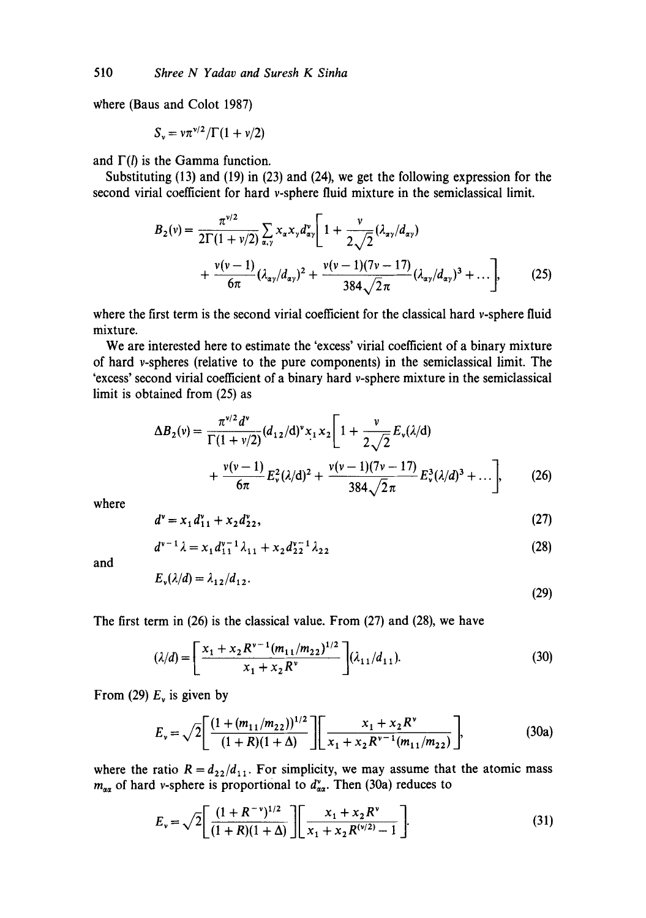where (Baus and Colot 1987)

$$
S_{\nu} = \nu \pi^{\nu/2}/\Gamma(1+\nu/2)
$$

and  $\Gamma(l)$  is the Gamma function.

Substituting (13) and (19) in (23) and (24), we get the following expression for the second virial coefficient for hard v-sphere fluid mixture in the semiclassical limit.

$$
B_2(v) = \frac{\pi^{v/2}}{2\Gamma(1+v/2)} \sum_{\alpha,\gamma} x_\alpha x_\gamma d_{\alpha\gamma}^v \left[ 1 + \frac{v}{2\sqrt{2}} (\lambda_{\alpha\gamma}/d_{\alpha\gamma}) + \frac{v(v-1)}{6\pi} (\lambda_{\alpha\gamma}/d_{\alpha\gamma})^2 + \frac{v(v-1)(7v-17)}{384\sqrt{2}\pi} (\lambda_{\alpha\gamma}/d_{\alpha\gamma})^3 + \dots \right],
$$
 (25)

where the first term is the second virial coefficient for the classical hard v-sphere fluid mixture.

We are interested here to estimate the 'excess' virial coefficient of a binary mixture of hard v-spheres (relative to the pure components) in the semiclassical limit. The 'excess' second virial coefficient of a binary hard v-sphere mixture in the semiclassical limit is obtained from (25) as

$$
\Delta B_2(v) = \frac{\pi^{v/2} d^v}{\Gamma(1 + v/2)} (d_{12}/d)^v x_1 x_2 \left[ 1 + \frac{v}{2\sqrt{2}} E_v(\lambda/d) + \frac{v(v-1)}{6\pi} E_v^2(\lambda/d)^2 + \frac{v(v-1)(7v-17)}{384\sqrt{2}\pi} E_v^3(\lambda/d)^3 + \dots \right],
$$
 (26)

where

$$
d^{\nu} = x_1 d_{11}^{\nu} + x_2 d_{22}^{\nu}, \tag{27}
$$

$$
d^{\nu-1}\lambda = x_1 d_{11}^{\nu-1}\lambda_{11} + x_2 d_{22}^{\nu-1}\lambda_{22}
$$
 (28)

and

$$
E_{\nu}(\lambda/d) = \lambda_{12}/d_{12}.
$$
\n(29)

The first term in (26) is the classical value. From (27) and (28), we have

$$
(\lambda/d) = \left[ \frac{x_1 + x_2 R^{\nu - 1} (m_{11}/m_{22})^{1/2}}{x_1 + x_2 R^{\nu}} \right] (\lambda_{11}/d_{11}).
$$
 (30)

From (29)  $E_v$  is given by

$$
E_{\nu} = \sqrt{2} \left[ \frac{(1 + (m_{11}/m_{22}))^{1/2}}{(1 + R)(1 + \Delta)} \right] \left[ \frac{x_1 + x_2 R^{\nu}}{x_1 + x_2 R^{\nu - 1} (m_{11}/m_{22})} \right],
$$
(30a)

where the ratio  $R = d_{22}/d_{11}$ . For simplicity, we may assume that the atomic mass  $m_{\alpha\alpha}$  of hard v-sphere is proportional to  $d^{\nu}_{\alpha\alpha}$ . Then (30a) reduces to

$$
E_{\nu} = \sqrt{2} \left[ \frac{(1 + R^{-\nu})^{1/2}}{(1 + R)(1 + \Delta)} \right] \left[ \frac{x_1 + x_2 R^{\nu}}{x_1 + x_2 R^{(\nu/2)} - 1} \right].
$$
 (31)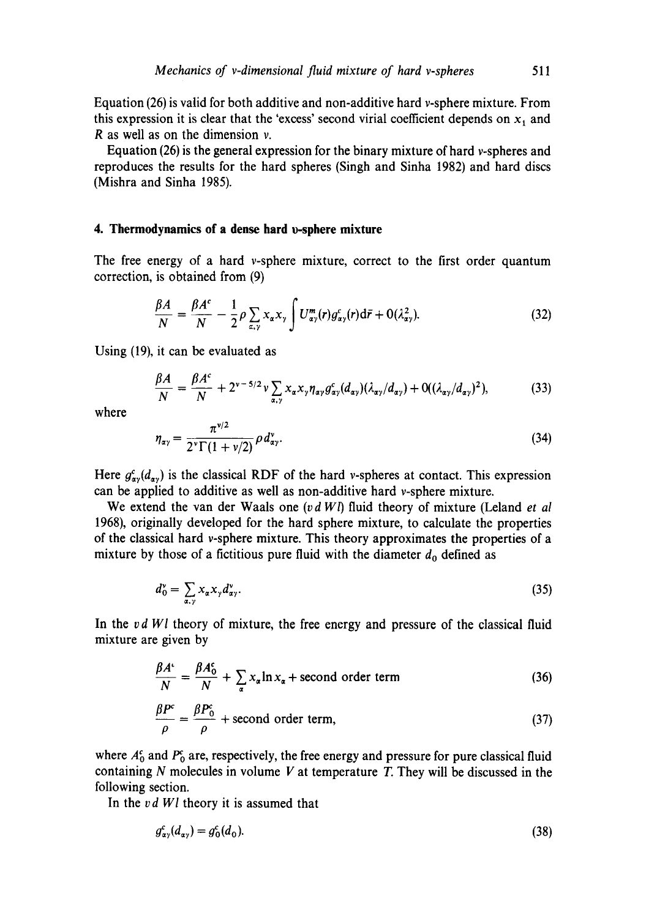Equation (26) is valid for both additive and non-additive hard v-sphere mixture. From this expression it is clear that the 'excess' second virial coefficient depends on  $x_1$  and  $R$  as well as on the dimension  $\nu$ .

Equation (26) is the general expression for the binary mixture of hard v-spheres and reproduces the results for the hard spheres (Singh and Sinha 1982) and hard discs (Mishra and Sinha 1985).

## **4. Thermodynamics of a dense hard o-sphere mixture**

The free energy of a hard v-sphere mixture, correct to the first order quantum correction, is obtained from (9)

$$
\frac{\beta A}{N} = \frac{\beta A^c}{N} - \frac{1}{2} \rho \sum_{\alpha, \gamma} x_{\alpha} x_{\gamma} \int U^m_{\alpha\gamma}(r) g^c_{\alpha\gamma}(r) d\bar{r} + O(\lambda_{\alpha\gamma}^2). \tag{32}
$$

Using (19), it can be evaluated as

$$
\frac{\beta A}{N} = \frac{\beta A^c}{N} + 2^{\nu - 5/2} \nu \sum_{\alpha, \gamma} x_{\alpha} x_{\gamma} \eta_{\alpha \gamma} g_{\alpha \gamma}^c(d_{\alpha \gamma}) (\lambda_{\alpha \gamma}/d_{\alpha \gamma}) + O((\lambda_{\alpha \gamma}/d_{\alpha \gamma})^2), \tag{33}
$$

where

$$
\eta_{\alpha\gamma} = \frac{\pi^{\nu/2}}{2^{\nu}\Gamma(1+\nu/2)} \rho \, d^{\nu}_{\alpha\gamma}.
$$
 (34)

Here  $g_{xy}^c(d_{xy})$  is the classical RDF of the hard v-spheres at contact. This expression can be applied to additive as well as non-additive hard v-sphere mixture.

We extend the van der Waals one (v d WI) fluid theory of mixture (Leland *et al* 1968), originally developed for the hard sphere mixture, to calculate the properties of the classical hard v-sphere mixture. This theory approximates the properties of a mixture by those of a fictitious pure fluid with the diameter  $d_0$  defined as

$$
d_0^{\mathbf{v}} = \sum_{\alpha,\gamma} x_{\alpha} x_{\gamma} d_{\alpha\gamma}^{\mathbf{v}}.
$$
 (35)

In the *v d Wl* theory of mixture, the free energy and pressure of the classical fluid mixture are given by

$$
\frac{\beta A^2}{N} = \frac{\beta A_0^2}{N} + \sum_{\alpha} x_{\alpha} \ln x_{\alpha} + \text{second order term}
$$
 (36)

$$
\frac{\beta P^c}{\rho} = \frac{\beta P_0^c}{\rho} + \text{second order term},\tag{37}
$$

where  $A_0^c$  and  $P_0^c$  are, respectively, the free energy and pressure for pure classical fluid containing  $N$  molecules in volume  $V$  at temperature  $T$ . They will be discussed in the following section.

In the *v d Wl* theory it is assumed that

$$
g_{xy}^c(d_{xy}) = g_0^c(d_0). \tag{38}
$$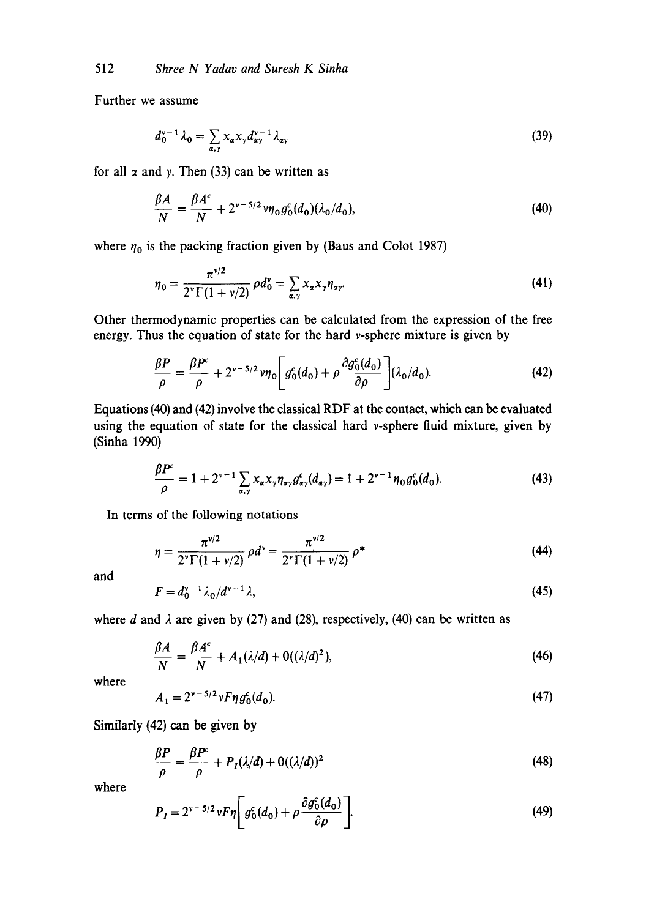Further we assume

$$
d_0^{\nu-1}\lambda_0 = \sum_{\alpha,\gamma} x_\alpha x_\gamma d_{\alpha\gamma}^{\nu-1}\lambda_{\alpha\gamma}
$$
 (39)

for all  $\alpha$  and  $\gamma$ . Then (33) can be written as

$$
\frac{\beta A}{N} = \frac{\beta A^c}{N} + 2^{\nu - 5/2} \nu \eta_0 g_0^c(d_0) (\lambda_0/d_0), \tag{40}
$$

where  $\eta_0$  is the packing fraction given by (Baus and Colot 1987)

$$
\eta_0 = \frac{\pi^{\nu/2}}{2^{\nu} \Gamma(1 + \nu/2)} \rho d_0^{\nu} = \sum_{\alpha, \gamma} x_{\alpha} x_{\gamma} \eta_{\alpha \gamma}.
$$
 (41)

Other thermodynamic properties can be calculated from the expression of the free energy. Thus the equation of state for the hard v-sphere mixture is given by

$$
\frac{\beta P}{\rho} = \frac{\beta P^c}{\rho} + 2^{\nu - 5/2} \nu \eta_0 \left[ g_0^c(d_0) + \rho \frac{\partial g_0^c(d_0)}{\partial \rho} \right] (\lambda_0/d_0). \tag{42}
$$

Equations (40) and (42) involve the classical RDF at the contact, which can be evaluated using the equation of state for the classical hard v-sphere fluid mixture, given by (Sinha 1990)

$$
\frac{\beta P^c}{\rho} = 1 + 2^{\nu - 1} \sum_{\alpha, \gamma} x_{\alpha} x_{\gamma} \eta_{\alpha \gamma} g_{\alpha \gamma}^c(d_{\alpha \gamma}) = 1 + 2^{\nu - 1} \eta_0 g_0^c(d_0).
$$
 (43)

In terms of the following notations

$$
\eta = \frac{\pi^{\nu/2}}{2^{\nu} \Gamma(1 + \nu/2)} \rho d^{\nu} = \frac{\pi^{\nu/2}}{2^{\nu} \Gamma(1 + \nu/2)} \rho^* \tag{44}
$$

and

$$
F = d_0^{\nu - 1} \lambda_0 / d^{\nu - 1} \lambda,\tag{45}
$$

where d and  $\lambda$  are given by (27) and (28), respectively, (40) can be written as

$$
\frac{\beta A}{N} = \frac{\beta A^c}{N} + A_1(\lambda/d) + O((\lambda/d)^2),\tag{46}
$$

where

$$
A_1 = 2^{\nu - 5/2} \nu F \eta g_0^c(d_0). \tag{47}
$$

Similarly (42) can be given by

$$
\frac{\beta P}{\rho} = \frac{\beta P^c}{\rho} + P_I(\lambda/d) + O((\lambda/d))^2
$$
\n(48)

where

$$
P_I = 2^{\nu - 5/2} \nu F \eta \left[ g_0^c(d_0) + \rho \frac{\partial g_0^c(d_0)}{\partial \rho} \right].
$$
 (49)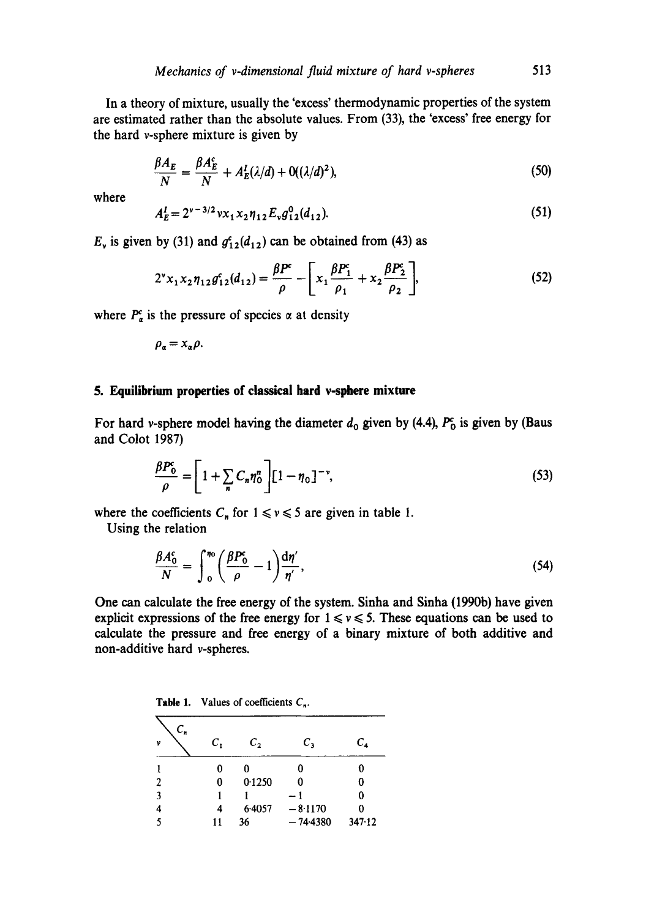In a theory of mixture, usually the 'excess' thermodynamic properties of the system are estimated rather than the absolute values. From (33), the 'excess' free energy for the hard v-sphere mixture is given by

$$
\frac{\beta A_E}{N} = \frac{\beta A_E^c}{N} + A_E^I(\lambda/d) + O((\lambda/d)^2),\tag{50}
$$

where

$$
A_E^I = 2^{\nu - 3/2} v x_1 x_2 \eta_{12} E_{\nu} g_{12}^0(d_{12}).
$$
\n(51)

 $E_y$  is given by (31) and  $g_{12}^c(d_{12})$  can be obtained from (43) as

$$
2^{\nu} x_1 x_2 \eta_{12} \theta_{12}^c (d_{12}) = \frac{\beta P^c}{\rho} - \left[ x_1 \frac{\beta P_1^c}{\rho_1} + x_2 \frac{\beta P_2^c}{\rho_2} \right],
$$
 (52)

where  $P_{\alpha}^c$  is the pressure of species  $\alpha$  at density

$$
\rho_{\alpha}=x_{\alpha}\rho.
$$

# **5. Equilibrium properties of classical hard v-sphere mixture**

For hard v-sphere model having the diameter  $d_0$  given by (4.4),  $P_0^c$  is given by (Baus and Color 1987)

$$
\frac{\beta P_0^c}{\rho} = \left[1 + \sum_n C_n \eta_0^n\right] \left[1 - \eta_0\right]^{-\nu},\tag{53}
$$

where the coefficients  $C_n$  for  $1 \le v \le 5$  are given in table 1.

Using the relation

$$
\frac{\beta A_0^c}{N} = \int_0^{\eta_0} \left( \frac{\beta P_0^c}{\rho} - 1 \right) \frac{d\eta'}{\eta'},\tag{54}
$$

One can calculate the free energy of the system. Sinha and Sinha (1990b) have given explicit expressions of the free energy for  $1 \le v \le 5$ . These equations can be used to calculate the pressure and free energy of a binary mixture of both additive and non-additive hard v-spheres.

| Values of coefficients $C_n$ .<br>Table 1. |  |
|--------------------------------------------|--|
|--------------------------------------------|--|

| $C_n$ |                   |        |            |             |
|-------|-------------------|--------|------------|-------------|
| ν     | $\mathcal{C}_{1}$ | c,     | $C_{3}$    | $c_{\star}$ |
|       | 0                 | 0      | 0          |             |
| 2     | 0                 | 0.1250 | 0          | 0           |
| 3     |                   |        | - 1        | 0           |
| 4     |                   | 6.4057 | $-8.1170$  |             |
| 5     | 11                | 36     | $-74.4380$ | 347.12      |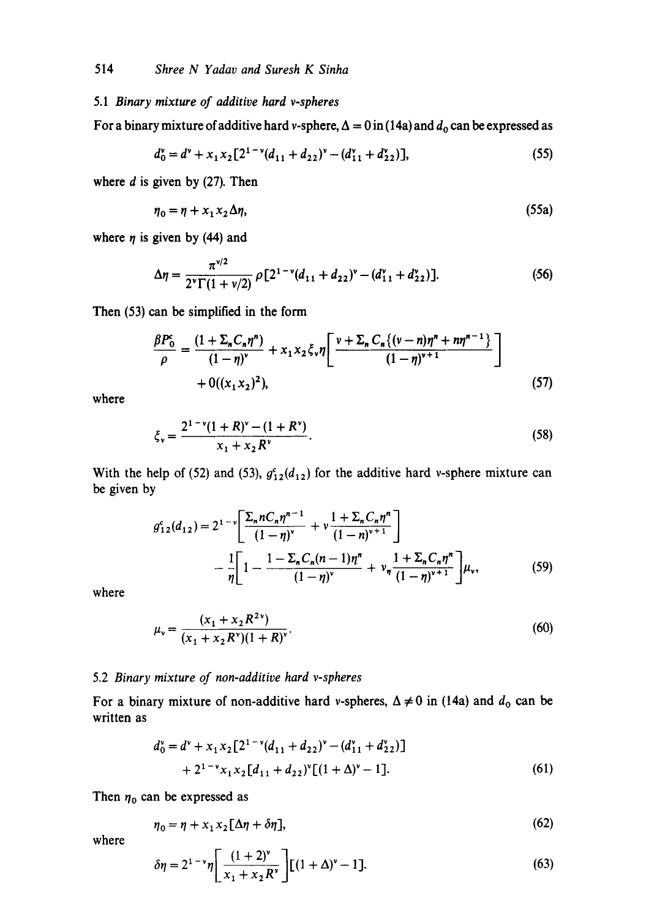# 5.1 *Binary mixture of additive hard v-spheres*

For a binary mixture of additive hard v-sphere,  $\Delta = 0$  in (14a) and  $d_0$  can be expressed as

$$
d_0^{\nu} = d^{\nu} + x_1 x_2 [2^{1-\nu} (d_{11} + d_{22})^{\nu} - (d_{11}^{\nu} + d_{22}^{\nu})], \tag{55}
$$

where  $d$  is given by (27). Then

$$
\eta_0 = \eta + x_1 x_2 \Delta \eta,\tag{55a}
$$

where  $\eta$  is given by (44) and

$$
\Delta \eta = \frac{\pi^{\nu/2}}{2^{\nu} \Gamma(1 + \nu/2)} \rho \left[ 2^{1 - \nu} (d_{11} + d_{22})^{\nu} - (d_{11}^{\nu} + d_{22}^{\nu}) \right]. \tag{56}
$$

Then (53) can be simplified in the form

$$
\frac{\beta P_0^c}{\rho} = \frac{(1 + \Sigma_n C_n \eta^n)}{(1 - \eta)^v} + x_1 x_2 \xi_v \eta \left[ \frac{v + \Sigma_n C_n \{ (v - n) \eta^n + n \eta^{n-1} \}}{(1 - \eta)^{v+1}} \right] + O((x_1 x_2)^2),
$$
\n(57)

where

$$
\xi_{\nu} = \frac{2^{1-\nu}(1+R)^{\nu} - (1+R^{\nu})}{x_1 + x_2 R^{\nu}}.
$$
\n(58)

With the help of (52) and (53),  $g_{12}^c(d_{12})$  for the additive hard v-sphere mixture can be given by

$$
g_{12}^c(d_{12}) = 2^{1-\nu} \left[ \frac{\sum_n nC_n \eta^{n-1}}{(1-\eta)^{\nu}} + \nu \frac{1+\sum_n C_n \eta^n}{(1-\eta)^{\nu+1}} \right] - \frac{1}{\eta} \left[ 1 - \frac{1-\sum_n C_n (n-1) \eta^n}{(1-\eta)^{\nu}} + \nu_n \frac{1+\sum_n C_n \eta^n}{(1-\eta)^{\nu+1}} \right] \mu_{\nu},
$$
(59)

where

$$
\mu_{\nu} = \frac{(x_1 + x_2 R^{2\nu})}{(x_1 + x_2 R^{\nu})(1 + R)^{\nu}}.
$$
\n(60)

# 5.2 *Binary mixture of non-additive hard v-spheres*

For a binary mixture of non-additive hard v-spheres,  $\Delta \neq 0$  in (14a) and  $d_0$  can be written as

$$
d_0^{\nu} = d^{\nu} + x_1 x_2 [2^{1-\nu} (d_{11} + d_{22})^{\nu} - (d_{11}^{\nu} + d_{22}^{\nu})] + 2^{1-\nu} x_1 x_2 [d_{11} + d_{22}]^{\nu} [(1 + \Delta)^{\nu} - 1].
$$
 (61)

Then  $\eta_0$  can be expressed as

$$
\eta_0 = \eta + x_1 x_2 [\Delta \eta + \delta \eta], \tag{62}
$$

where

$$
\delta \eta = 2^{1-\nu} \eta \left[ \frac{(1+2)^{\nu}}{x_1 + x_2 R^{\nu}} \right] [(1+\Delta)^{\nu} - 1]. \tag{63}
$$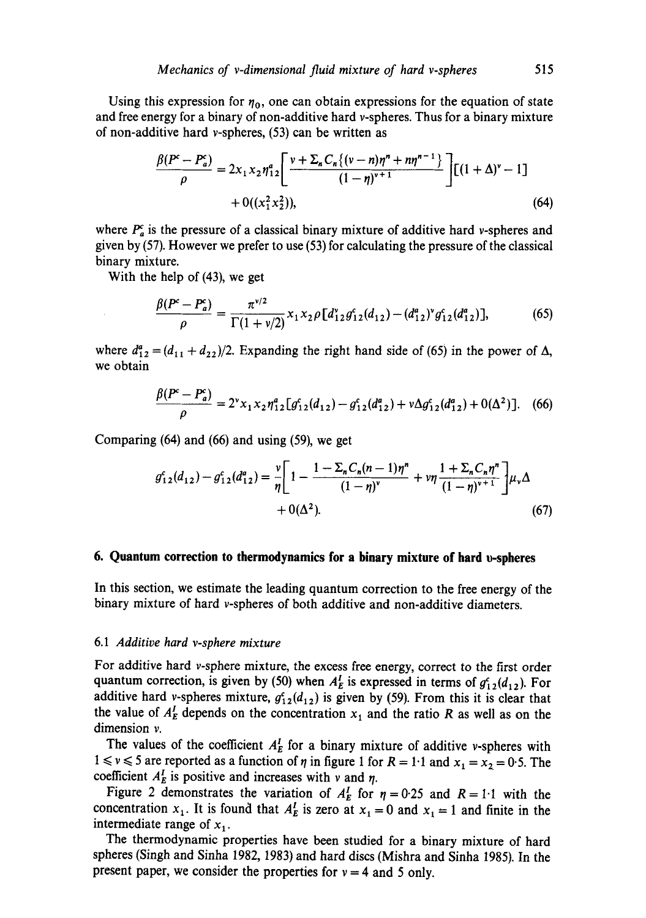Using this expression for  $\eta_0$ , one can obtain expressions for the equation of state and free energy for a binary of non-additive hard v-spheres. Thus for a binary mixture of non-additive hard v-spheres,  $(53)$  can be written as

$$
\frac{\beta(P^c - P_a^c)}{\rho} = 2x_1 x_2 \eta_{12}^a \left[ \frac{v + \sum_n C_n \{(v - n)\eta^n + n\eta^{n-1}\}}{(1 - \eta)^{v+1}} \right] \left[ (1 + \Delta)^v - 1 \right] + O((x_1^2 x_2^2)),\tag{64}
$$

where  $P_a^c$  is the pressure of a classical binary mixture of additive hard v-spheres and given by (57). However we prefer to use (53) for calculating the pressure of the classical binary mixture.

With the help of (43), we get

$$
\frac{\beta(P^c - P_a^c)}{\rho} = \frac{\pi^{\nu/2}}{\Gamma(1 + \nu/2)} x_1 x_2 \rho [d_{12}^{\nu} g_{12}^c (d_{12}) - (d_{12}^a)^{\nu} g_{12}^c (d_{12}^a)],\tag{65}
$$

where  $d_{12}^a = (d_{11} + d_{22})/2$ . Expanding the right hand side of (65) in the power of  $\Delta$ , we obtain

$$
\frac{\beta(P^c - P_a^c)}{\rho} = 2^v x_1 x_2 \eta_{12}^a [g_{12}^c(d_{12}) - g_{12}^c(d_{12}^a) + v \Delta g_{12}^c(d_{12}^a) + O(\Delta^2)].
$$
 (66)

Comparing (64) and (66) and using (59), we get

$$
g_{12}^c(d_{12}) - g_{12}^c(d_{12}^a) = \frac{\nu}{\eta} \left[ 1 - \frac{1 - \sum_n C_n (n-1)\eta^n}{(1-\eta)^{\nu}} + \nu \eta \frac{1 + \sum_n C_n \eta^n}{(1-\eta)^{\nu+1}} \right] \mu_{\nu} \Delta + O(\Delta^2).
$$
 (67)

#### **6. Quantum correction to thermodynamics for a binary mixture of hard u-spheres**

In this section, we estimate the leading quantum correction to the free energy of the binary mixture of hard v-spheres of both additive and non-additive diameters.

#### 6.1 *Additive hard v-sphere mixture*

For additive hard v-sphere mixture, the excess free energy, correct to the first order quantum correction, is given by (50) when  $A_E^I$  is expressed in terms of  $g_{12}^c(d_{12})$ . For additive hard v-spheres mixture,  $g_{12}^c(d_{12})$  is given by (59). From this it is clear that the value of  $A_E^I$  depends on the concentration  $x_1$  and the ratio R as well as on the dimension v.

The values of the coefficient  $A_E^I$  for a binary mixture of additive v-spheres with  $1 \le v \le 5$  are reported as a function of  $\eta$  in figure 1 for  $R = 1.1$  and  $x_1 = x_2 = 0.5$ . The coefficient  $A_E^I$  is positive and increases with v and  $\eta$ .

Figure 2 demonstrates the variation of  $A<sub>F</sub><sup>t</sup>$  for  $\eta = 0.25$  and  $R = 1.1$  with the concentration  $x_1$ . It is found that  $A'_k$  is zero at  $x_1 = 0$  and  $x_1 = 1$  and finite in the intermediate range of  $x_1$ .

The thermodynamic properties have been studied for a binary mixture of hard spheres (Singh and Sinha 1982, 1983) and hard discs (Mishra and Sinha 1985). In the present paper, we consider the properties for  $v = 4$  and 5 only.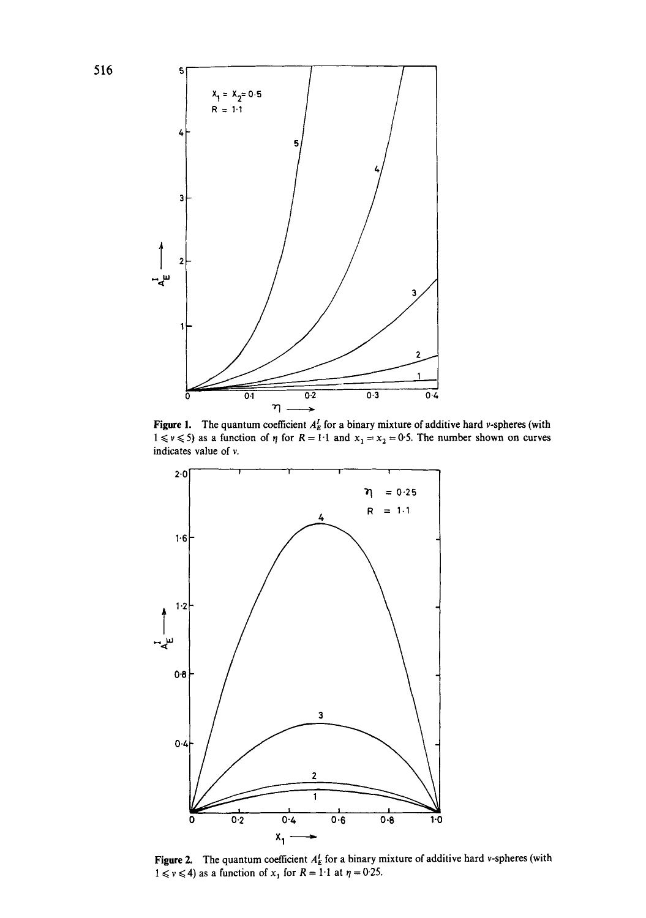

Figure 1. The quantum coefficient  $A<sub>E</sub><sup>I</sup>$  for a binary mixture of additive hard v-spheres (with  $1 \le v \le 5$ ) as a function of  $\eta$  for  $R = 1.1$  and  $x_1 = x_2 = 0.5$ . The number shown on curves indicates value of v.



**Figure 2.** The quantum coefficient  $A_F^T$  for a binary mixture of additive hard v-spheres (with  $1 \leq v \leq 4$ ) as a function of  $x_1$  for  $R = 1.1$  at  $\eta = 0.25$ .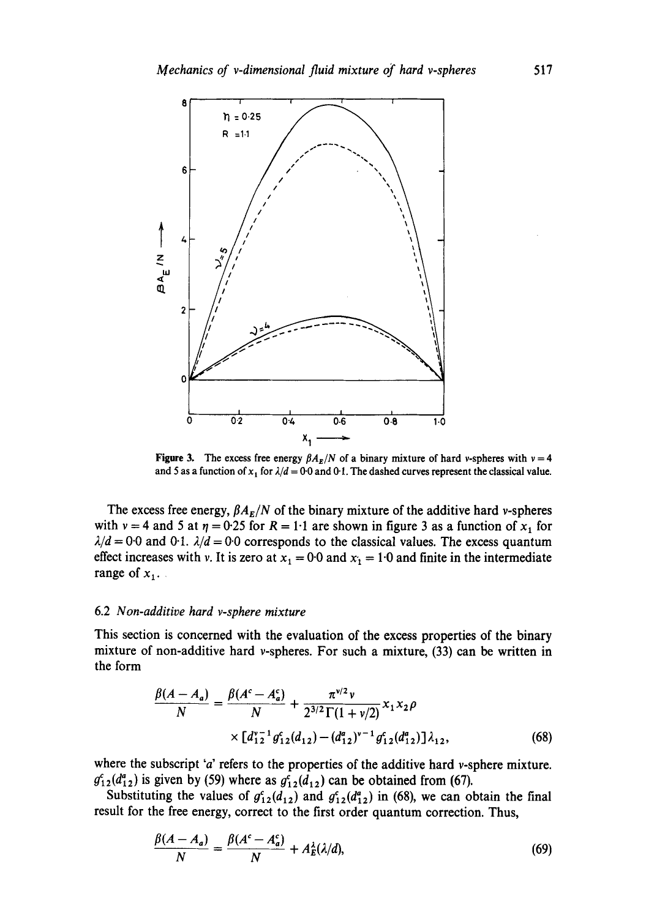

Figure 3. The excess free energy  $\beta A_E/N$  of a binary mixture of hard v-spheres with  $v = 4$ and 5 as a function of  $x_1$  for  $\lambda/d = 0.0$  and 0.1. The dashed curves represent the classical value.

The excess free energy,  $\beta A_E/N$  of the binary mixture of the additive hard v-spheres with  $v = 4$  and 5 at  $\eta = 0.25$  for  $R = 1.1$  are shown in figure 3 as a function of  $x_1$  for  $\lambda/d = 0.0$  and 0.1.  $\lambda/d = 0.0$  corresponds to the classical values. The excess quantum effect increases with v. It is zero at  $x_1 = 0.0$  and  $x_1 = 1.0$  and finite in the intermediate range of  $x_1$ .

# 6.2 *Non-additive hard v-sphere mixture*

This section is concerned with the evaluation of the excess properties of the binary mixture of non-additive hard v-spheres. For such a mixture, (33) can be written in the form

$$
\frac{\beta(A-A_a)}{N} = \frac{\beta(A^c-A_a^c)}{N} + \frac{\pi^{\nu/2}\nu}{2^{3/2}\Gamma(1+\nu/2)} x_1 x_2 \rho
$$
  
 
$$
\times [d_{12}^{\nu-1} g_{12}^c (d_{12}) - (d_{12}^a)^{\nu-1} g_{12}^c (d_{12}^a)] \lambda_{12},
$$
 (68)

where the subscript 'a' refers to the properties of the additive hard v-sphere mixture.  $g_{12}^c(d_{12}^a)$  is given by (59) where as  $g_{12}^c(d_{12})$  can be obtained from (67).

Substituting the values of  $g_{12}^c(d_{12})$  and  $g_{12}^c(d_{12}^a)$  in (68), we can obtain the final result for the free energy, correct to the first order quantum correction. Thus,

$$
\frac{\beta(A-A_a)}{N} = \frac{\beta(A^c - A_a^c)}{N} + A_E^{\lambda}(\lambda/d),\tag{69}
$$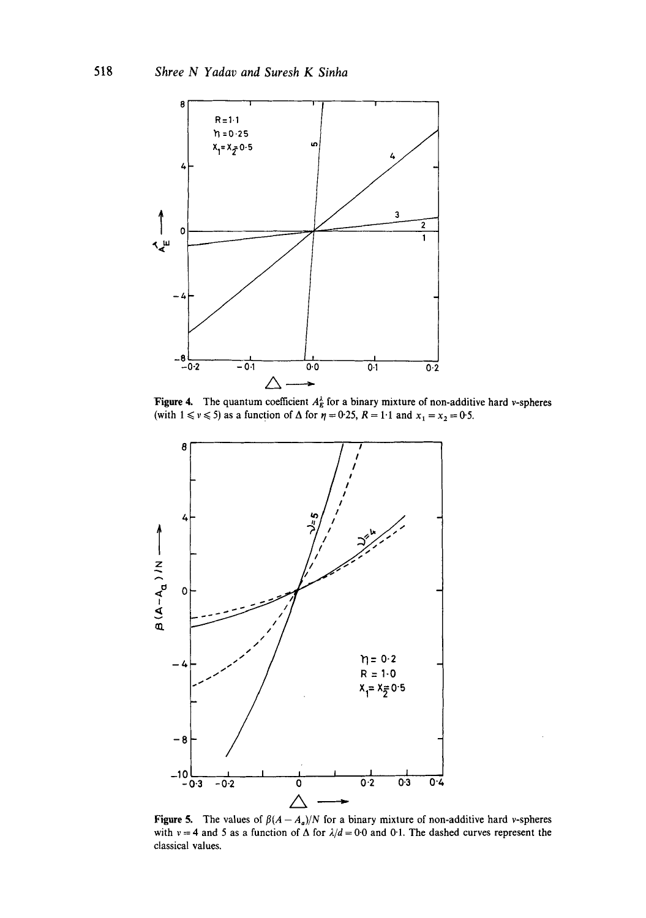

Figure 4. The quantum coefficient  $A_E^{\lambda}$  for a binary mixture of non-additive hard v-spheres (with  $1 \le v \le 5$ ) as a function of  $\triangle$  for  $\eta = 0.25$ ,  $R = 1.1$  and  $x_1 = x_2 = 0.5$ .



Figure 5. The values of  $\beta(A - A_a)/N$  for a binary mixture of non-additive hard v-spheres with  $v = 4$  and 5 as a function of  $\Delta$  for  $\lambda/d = 0.0$  and 0.1. The dashed curves represent the classical values.